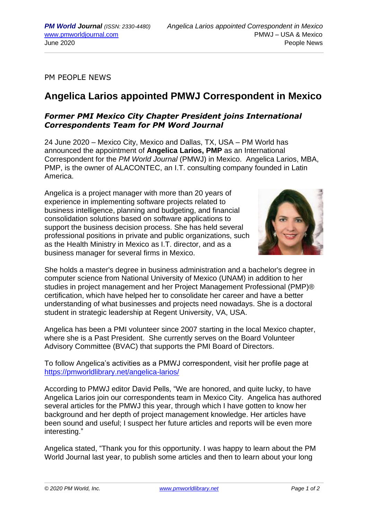PM PEOPLE NEWS

## **Angelica Larios appointed PMWJ Correspondent in Mexico**

## *Former PMI Mexico City Chapter President joins International Correspondents Team for PM Word Journal*

24 June 2020 – Mexico City, Mexico and Dallas, TX, USA – PM World has announced the appointment of **Angelica Larios, PMP** as an International Correspondent for the *PM World Journal* (PMWJ) in Mexico. Angelica Larios, MBA, PMP, is the owner of ALACONTEC, an I.T. consulting company founded in Latin America.

Angelica is a project manager with more than 20 years of experience in implementing software projects related to business intelligence, planning and budgeting, and financial consolidation solutions based on software applications to support the business decision process. She has held several professional positions in private and public organizations, such as the Health Ministry in Mexico as I.T. director, and as a business manager for several firms in Mexico.



She holds a master's degree in business administration and a bachelor's degree in computer science from National University of Mexico (UNAM) in addition to her studies in project management and her Project Management Professional (PMP)® certification, which have helped her to consolidate her career and have a better understanding of what businesses and projects need nowadays. She is a doctoral student in strategic leadership at Regent University, VA, USA.

Angelica has been a PMI volunteer since 2007 starting in the local Mexico chapter, where she is a Past President. She currently serves on the Board Volunteer Advisory Committee (BVAC) that supports the PMI Board of Directors.

To follow Angelica's activities as a PMWJ correspondent, visit her profile page at <https://pmworldlibrary.net/angelica-larios/>

According to PMWJ editor David Pells, "We are honored, and quite lucky, to have Angelica Larios join our correspondents team in Mexico City. Angelica has authored several articles for the PMWJ this year, through which I have gotten to know her background and her depth of project management knowledge. Her articles have been sound and useful; I suspect her future articles and reports will be even more interesting."

Angelica stated, "Thank you for this opportunity. I was happy to learn about the PM World Journal last year, to publish some articles and then to learn about your long